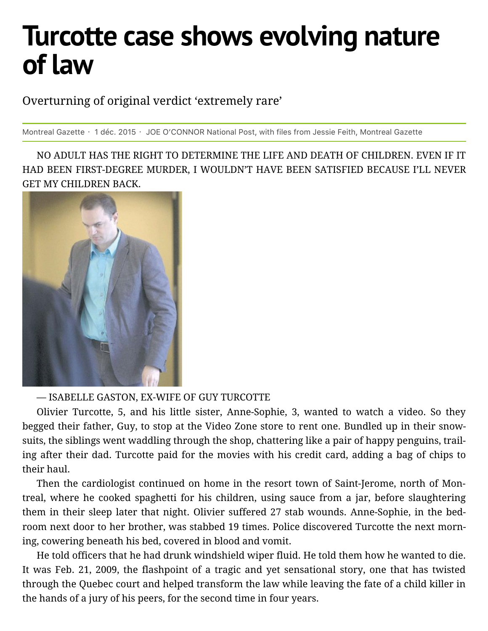## **Turcotte case shows evolving nature of law**

Overturning of original verdict 'extremely rare'

Montreal Gazette · 1 déc. 2015 · JOE O'CONNOR National Post, with files from Jessie Feith, Montreal Gazette

NO ADULT HAS THE RIGHT TO DETERMINE THE LIFE AND DEATH OF CHILDREN. EVEN IF IT HAD BEEN FIRST-DEGREE MURDER, I WOULDN'T HAVE BEEN SATISFIED BECAUSE I'LL NEVER GET MY CHILDREN BACK.



## — ISABELLE GASTON, EX-WIFE OF GUY TURCOTTE

Olivier Turcotte, 5, and his little sister, Anne-Sophie, 3, wanted to watch a video. So they begged their father, Guy, to stop at the Video Zone store to rent one. Bundled up in their snowsuits, the siblings went waddling through the shop, chattering like a pair of happy penguins, trailing after their dad. Turcotte paid for the movies with his credit card, adding a bag of chips to their haul.

Then the cardiologist continued on home in the resort town of Saint-Jerome, north of Montreal, where he cooked spaghetti for his children, using sauce from a jar, before slaughtering them in their sleep later that night. Olivier suffered 27 stab wounds. Anne-Sophie, in the bedroom next door to her brother, was stabbed 19 times. Police discovered Turcotte the next morning, cowering beneath his bed, covered in blood and vomit.

He told officers that he had drunk wind shield wiper fluid. He told them how he wanted to die. It was Feb. 21, 2009, the flash point of a tragic and yet sensational story, one that has twisted through the Quebec court and helped transform the law while leaving the fate of a child killer in the hands of a jury of his peers, for the second time in four years.